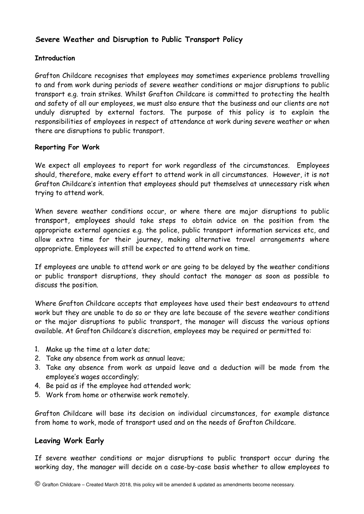# **Severe Weather and Disruption to Public Transport Policy**

### **Introduction**

Grafton Childcare recognises that employees may sometimes experience problems travelling to and from work during periods of severe weather conditions or major disruptions to public transport e.g. train strikes. Whilst Grafton Childcare is committed to protecting the health and safety of all our employees, we must also ensure that the business and our clients are not unduly disrupted by external factors. The purpose of this policy is to explain the responsibilities of employees in respect of attendance at work during severe weather or when there are disruptions to public transport.

#### **Reporting For Work**

We expect all employees to report for work regardless of the circumstances. Employees should, therefore, make every effort to attend work in all circumstances. However, it is not Grafton Childcare's intention that employees should put themselves at unnecessary risk when trying to attend work.

When severe weather conditions occur, or where there are major disruptions to public transport, employees should take steps to obtain advice on the position from the appropriate external agencies e.g. the police, public transport information services etc, and allow extra time for their journey, making alternative travel arrangements where appropriate. Employees will still be expected to attend work on time.

If employees are unable to attend work or are going to be delayed by the weather conditions or public transport disruptions, they should contact the manager as soon as possible to discuss the position.

Where Grafton Childcare accepts that employees have used their best endeavours to attend work but they are unable to do so or they are late because of the severe weather conditions or the major disruptions to public transport, the manager will discuss the various options available. At Grafton Childcare's discretion, employees may be required or permitted to:

- 1. Make up the time at a later date;
- 2. Take any absence from work as annual leave;
- 3. Take any absence from work as unpaid leave and a deduction will be made from the employee's wages accordingly;
- 4. Be paid as if the employee had attended work;
- 5. Work from home or otherwise work remotely.

Grafton Childcare will base its decision on individual circumstances, for example distance from home to work, mode of transport used and on the needs of Grafton Childcare.

## **Leaving Work Early**

If severe weather conditions or major disruptions to public transport occur during the working day, the manager will decide on a case-by-case basis whether to allow employees to